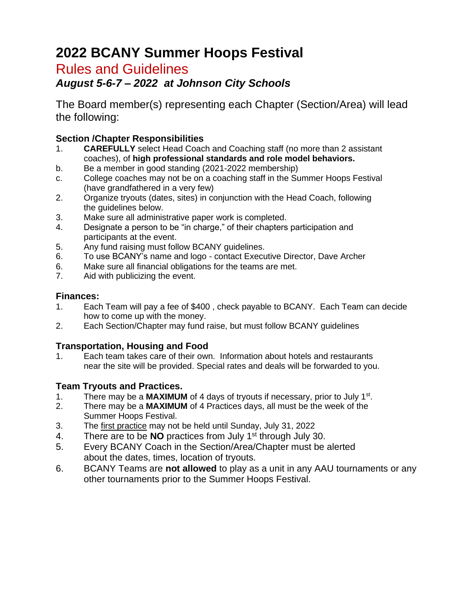# **2022 BCANY Summer Hoops Festival**

## Rules and Guidelines

### *August 5-6-7 – 2022 at Johnson City Schools*

The Board member(s) representing each Chapter (Section/Area) will lead the following:

#### **Section /Chapter Responsibilities**

- 1. **CAREFULLY** select Head Coach and Coaching staff (no more than 2 assistant coaches), of **high professional standards and role model behaviors.**
- b. Be a member in good standing (2021-2022 membership)
- c. College coaches may not be on a coaching staff in the Summer Hoops Festival (have grandfathered in a very few)
- 2. Organize tryouts (dates, sites) in conjunction with the Head Coach, following the guidelines below.
- 3. Make sure all administrative paper work is completed.
- 4. Designate a person to be "in charge," of their chapters participation and participants at the event.
- 5. Any fund raising must follow BCANY guidelines.
- 6. To use BCANY's name and logo contact Executive Director, Dave Archer
- 6. Make sure all financial obligations for the teams are met.
- 7. Aid with publicizing the event.

#### **Finances:**

- 1. Each Team will pay a fee of \$400 , check payable to BCANY. Each Team can decide how to come up with the money.
- 2. Each Section/Chapter may fund raise, but must follow BCANY guidelines

#### **Transportation, Housing and Food**

1. Each team takes care of their own. Information about hotels and restaurants near the site will be provided. Special rates and deals will be forwarded to you.

#### **Team Tryouts and Practices.**

- 1. There may be a **MAXIMUM** of 4 days of tryouts if necessary, prior to July 1<sup>st</sup>.
- 2. There may be a **MAXIMUM** of 4 Practices days, all must be the week of the Summer Hoops Festival.
- 3. The first practice may not be held until Sunday, July 31, 2022
- 4. There are to be **NO** practices from July 1st through July 30.
- 5. Every BCANY Coach in the Section/Area/Chapter must be alerted about the dates, times, location of tryouts.
- 6. BCANY Teams are **not allowed** to play as a unit in any AAU tournaments or any other tournaments prior to the Summer Hoops Festival.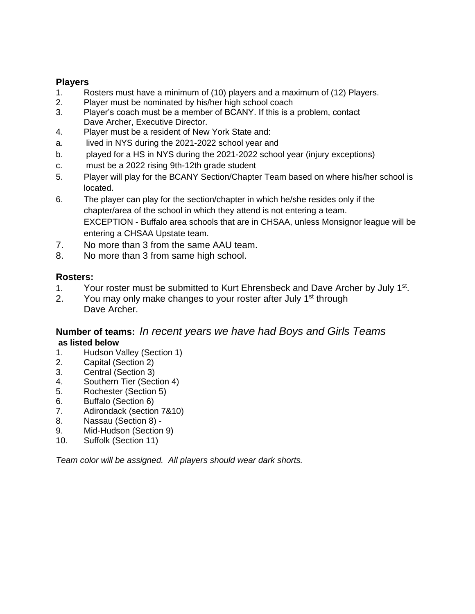#### **Players**

- 1. Rosters must have a minimum of (10) players and a maximum of (12) Players.
- 2. Player must be nominated by his/her high school coach
- 3. Player's coach must be a member of BCANY. If this is a problem, contact Dave Archer, Executive Director.
- 4. Player must be a resident of New York State and:
- a. lived in NYS during the 2021-2022 school year and
- b. played for a HS in NYS during the 2021-2022 school year (injury exceptions)
- c. must be a 2022 rising 9th-12th grade student
- 5. Player will play for the BCANY Section/Chapter Team based on where his/her school is located.
- 6. The player can play for the section/chapter in which he/she resides only if the chapter/area of the school in which they attend is not entering a team. EXCEPTION - Buffalo area schools that are in CHSAA, unless Monsignor league will be entering a CHSAA Upstate team.
- 7. No more than 3 from the same AAU team.
- 8. No more than 3 from same high school.

#### **Rosters:**

- 1. Your roster must be submitted to Kurt Ehrensbeck and Dave Archer by July 1<sup>st</sup>.
- 2. You may only make changes to your roster after July  $1<sup>st</sup>$  through Dave Archer.

#### **Number of teams:** *In recent years we have had Boys and Girls Teams*  **as listed below**

- 1. Hudson Valley (Section 1)
- 2. Capital (Section 2)
- 3. Central (Section 3)
- 4. Southern Tier (Section 4)
- 5. Rochester (Section 5)
- 6. Buffalo (Section 6)
- 7. Adirondack (section 7&10)
- 8. Nassau (Section 8) -
- 9. Mid-Hudson (Section 9)
- 10. Suffolk (Section 11)

*Team color will be assigned. All players should wear dark shorts.*